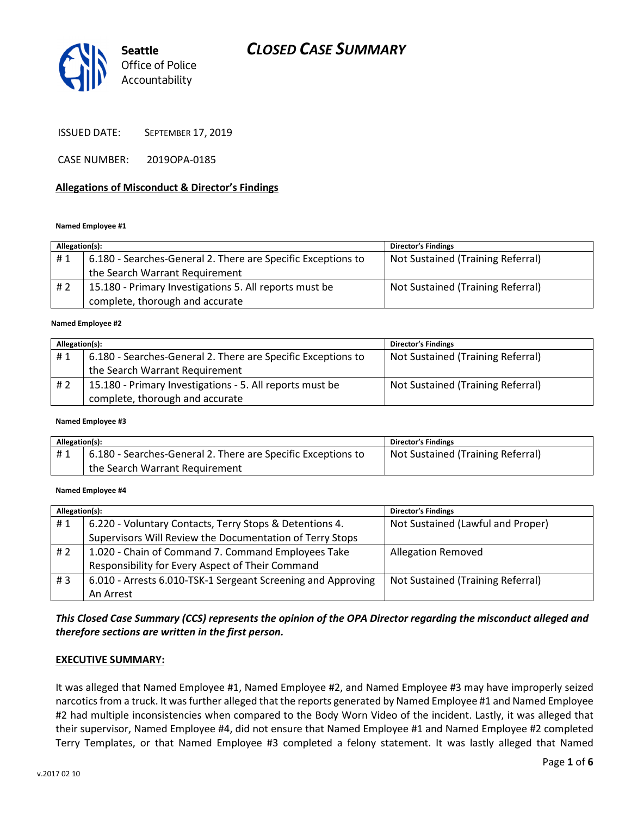# CLOSED CASE SUMMARY



ISSUED DATE: SEPTEMBER 17, 2019

CASE NUMBER: 2019OPA-0185

#### Allegations of Misconduct & Director's Findings

#### Named Employee #1

| Allegation(s): |                                                              | <b>Director's Findings</b>        |
|----------------|--------------------------------------------------------------|-----------------------------------|
| #1             | 6.180 - Searches-General 2. There are Specific Exceptions to | Not Sustained (Training Referral) |
|                | the Search Warrant Requirement                               |                                   |
| # 2            | 15.180 - Primary Investigations 5. All reports must be       | Not Sustained (Training Referral) |
|                | complete, thorough and accurate                              |                                   |
|                |                                                              |                                   |

#### Named Employee #2

| Allegation(s): |                                                              | <b>Director's Findings</b>        |
|----------------|--------------------------------------------------------------|-----------------------------------|
| #1             | 6.180 - Searches-General 2. There are Specific Exceptions to | Not Sustained (Training Referral) |
|                | the Search Warrant Requirement                               |                                   |
| # 2            | 15.180 - Primary Investigations - 5. All reports must be     | Not Sustained (Training Referral) |
|                | complete, thorough and accurate                              |                                   |

Named Employee #3

| Allegation(s): |                                                              | <b>Director's Findings</b>        |
|----------------|--------------------------------------------------------------|-----------------------------------|
| #1             | 6.180 - Searches-General 2. There are Specific Exceptions to | Not Sustained (Training Referral) |
|                | the Search Warrant Requirement                               |                                   |

#### Named Employee #4

| Allegation(s): |                                                              | <b>Director's Findings</b>        |
|----------------|--------------------------------------------------------------|-----------------------------------|
| #1             | 6.220 - Voluntary Contacts, Terry Stops & Detentions 4.      | Not Sustained (Lawful and Proper) |
|                | Supervisors Will Review the Documentation of Terry Stops     |                                   |
| #2             | 1.020 - Chain of Command 7. Command Employees Take           | <b>Allegation Removed</b>         |
|                | Responsibility for Every Aspect of Their Command             |                                   |
| #3             | 6.010 - Arrests 6.010-TSK-1 Sergeant Screening and Approving | Not Sustained (Training Referral) |
|                | An Arrest                                                    |                                   |

This Closed Case Summary (CCS) represents the opinion of the OPA Director regarding the misconduct alleged and therefore sections are written in the first person.

#### EXECUTIVE SUMMARY:

It was alleged that Named Employee #1, Named Employee #2, and Named Employee #3 may have improperly seized narcotics from a truck. It was further alleged that the reports generated by Named Employee #1 and Named Employee #2 had multiple inconsistencies when compared to the Body Worn Video of the incident. Lastly, it was alleged that their supervisor, Named Employee #4, did not ensure that Named Employee #1 and Named Employee #2 completed Terry Templates, or that Named Employee #3 completed a felony statement. It was lastly alleged that Named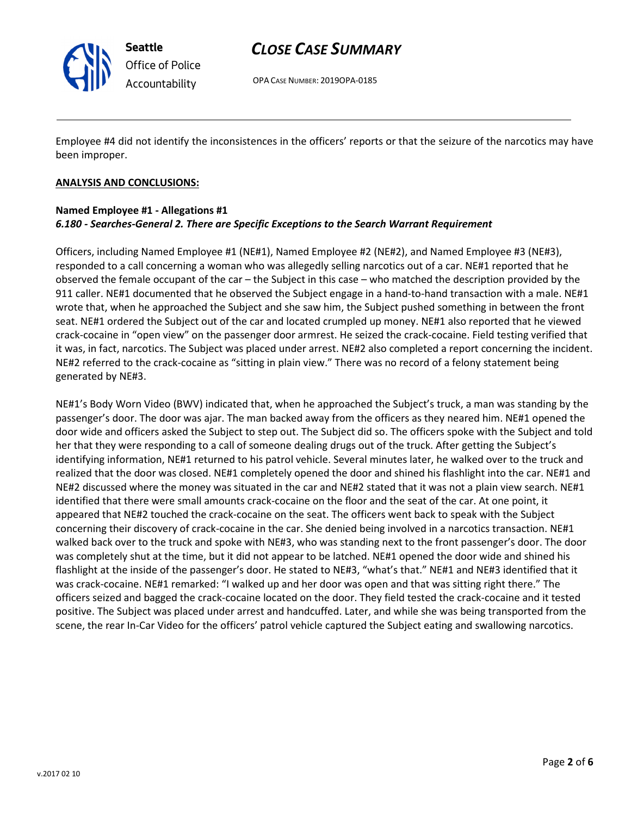

Seattle Office of Police Accountability

# CLOSE CASE SUMMARY

OPA CASE NUMBER: 2019OPA-0185

Employee #4 did not identify the inconsistences in the officers' reports or that the seizure of the narcotics may have been improper.

### ANALYSIS AND CONCLUSIONS:

# Named Employee #1 - Allegations #1 6.180 - Searches-General 2. There are Specific Exceptions to the Search Warrant Requirement

Officers, including Named Employee #1 (NE#1), Named Employee #2 (NE#2), and Named Employee #3 (NE#3), responded to a call concerning a woman who was allegedly selling narcotics out of a car. NE#1 reported that he observed the female occupant of the car – the Subject in this case – who matched the description provided by the 911 caller. NE#1 documented that he observed the Subject engage in a hand-to-hand transaction with a male. NE#1 wrote that, when he approached the Subject and she saw him, the Subject pushed something in between the front seat. NE#1 ordered the Subject out of the car and located crumpled up money. NE#1 also reported that he viewed crack-cocaine in "open view" on the passenger door armrest. He seized the crack-cocaine. Field testing verified that it was, in fact, narcotics. The Subject was placed under arrest. NE#2 also completed a report concerning the incident. NE#2 referred to the crack-cocaine as "sitting in plain view." There was no record of a felony statement being generated by NE#3.

NE#1's Body Worn Video (BWV) indicated that, when he approached the Subject's truck, a man was standing by the passenger's door. The door was ajar. The man backed away from the officers as they neared him. NE#1 opened the door wide and officers asked the Subject to step out. The Subject did so. The officers spoke with the Subject and told her that they were responding to a call of someone dealing drugs out of the truck. After getting the Subject's identifying information, NE#1 returned to his patrol vehicle. Several minutes later, he walked over to the truck and realized that the door was closed. NE#1 completely opened the door and shined his flashlight into the car. NE#1 and NE#2 discussed where the money was situated in the car and NE#2 stated that it was not a plain view search. NE#1 identified that there were small amounts crack-cocaine on the floor and the seat of the car. At one point, it appeared that NE#2 touched the crack-cocaine on the seat. The officers went back to speak with the Subject concerning their discovery of crack-cocaine in the car. She denied being involved in a narcotics transaction. NE#1 walked back over to the truck and spoke with NE#3, who was standing next to the front passenger's door. The door was completely shut at the time, but it did not appear to be latched. NE#1 opened the door wide and shined his flashlight at the inside of the passenger's door. He stated to NE#3, "what's that." NE#1 and NE#3 identified that it was crack-cocaine. NE#1 remarked: "I walked up and her door was open and that was sitting right there." The officers seized and bagged the crack-cocaine located on the door. They field tested the crack-cocaine and it tested positive. The Subject was placed under arrest and handcuffed. Later, and while she was being transported from the scene, the rear In-Car Video for the officers' patrol vehicle captured the Subject eating and swallowing narcotics.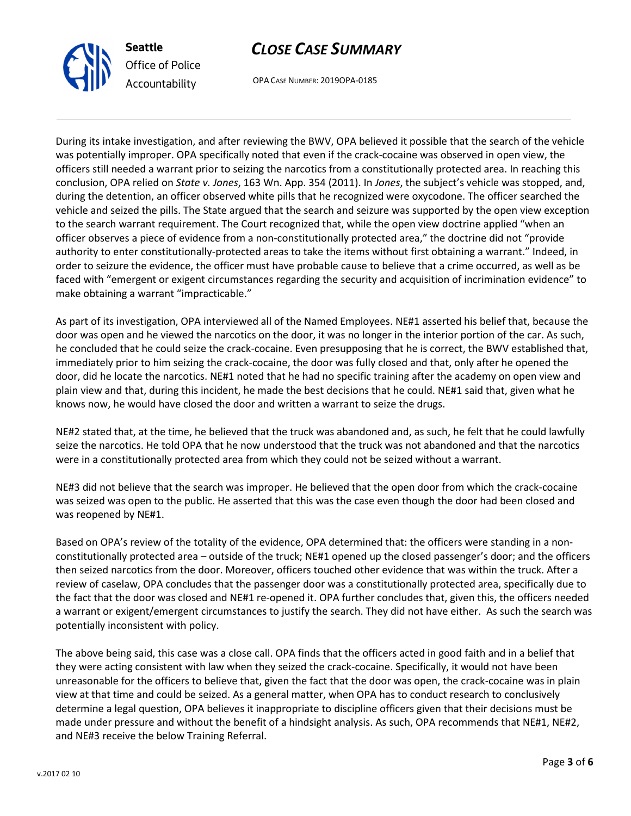



OPA CASE NUMBER: 2019OPA-0185

During its intake investigation, and after reviewing the BWV, OPA believed it possible that the search of the vehicle was potentially improper. OPA specifically noted that even if the crack-cocaine was observed in open view, the officers still needed a warrant prior to seizing the narcotics from a constitutionally protected area. In reaching this conclusion, OPA relied on State v. Jones, 163 Wn. App. 354 (2011). In Jones, the subject's vehicle was stopped, and, during the detention, an officer observed white pills that he recognized were oxycodone. The officer searched the vehicle and seized the pills. The State argued that the search and seizure was supported by the open view exception to the search warrant requirement. The Court recognized that, while the open view doctrine applied "when an officer observes a piece of evidence from a non-constitutionally protected area," the doctrine did not "provide authority to enter constitutionally-protected areas to take the items without first obtaining a warrant." Indeed, in order to seizure the evidence, the officer must have probable cause to believe that a crime occurred, as well as be faced with "emergent or exigent circumstances regarding the security and acquisition of incrimination evidence" to make obtaining a warrant "impracticable."

As part of its investigation, OPA interviewed all of the Named Employees. NE#1 asserted his belief that, because the door was open and he viewed the narcotics on the door, it was no longer in the interior portion of the car. As such, he concluded that he could seize the crack-cocaine. Even presupposing that he is correct, the BWV established that, immediately prior to him seizing the crack-cocaine, the door was fully closed and that, only after he opened the door, did he locate the narcotics. NE#1 noted that he had no specific training after the academy on open view and plain view and that, during this incident, he made the best decisions that he could. NE#1 said that, given what he knows now, he would have closed the door and written a warrant to seize the drugs.

NE#2 stated that, at the time, he believed that the truck was abandoned and, as such, he felt that he could lawfully seize the narcotics. He told OPA that he now understood that the truck was not abandoned and that the narcotics were in a constitutionally protected area from which they could not be seized without a warrant.

NE#3 did not believe that the search was improper. He believed that the open door from which the crack-cocaine was seized was open to the public. He asserted that this was the case even though the door had been closed and was reopened by NE#1.

Based on OPA's review of the totality of the evidence, OPA determined that: the officers were standing in a nonconstitutionally protected area – outside of the truck; NE#1 opened up the closed passenger's door; and the officers then seized narcotics from the door. Moreover, officers touched other evidence that was within the truck. After a review of caselaw, OPA concludes that the passenger door was a constitutionally protected area, specifically due to the fact that the door was closed and NE#1 re-opened it. OPA further concludes that, given this, the officers needed a warrant or exigent/emergent circumstances to justify the search. They did not have either. As such the search was potentially inconsistent with policy.

The above being said, this case was a close call. OPA finds that the officers acted in good faith and in a belief that they were acting consistent with law when they seized the crack-cocaine. Specifically, it would not have been unreasonable for the officers to believe that, given the fact that the door was open, the crack-cocaine was in plain view at that time and could be seized. As a general matter, when OPA has to conduct research to conclusively determine a legal question, OPA believes it inappropriate to discipline officers given that their decisions must be made under pressure and without the benefit of a hindsight analysis. As such, OPA recommends that NE#1, NE#2, and NE#3 receive the below Training Referral.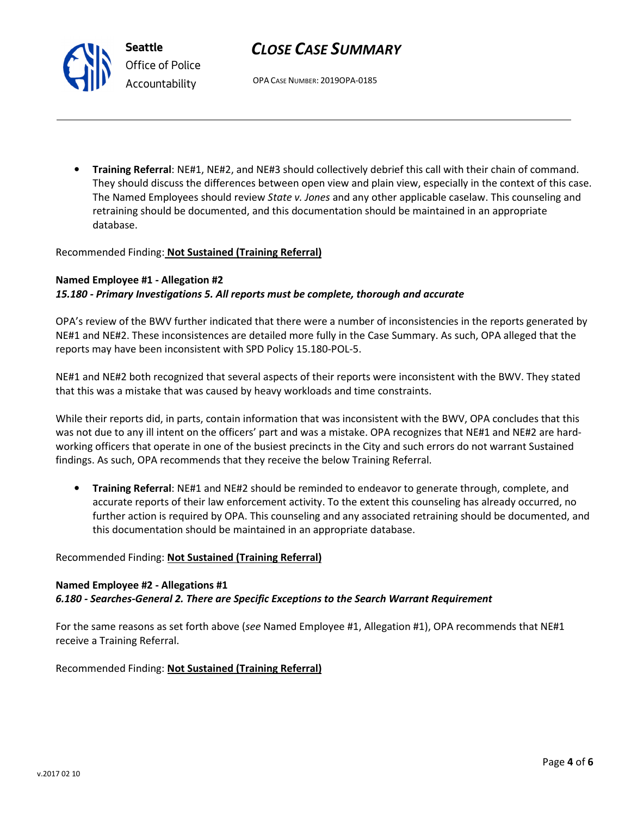# CLOSE CASE SUMMARY

OPA CASE NUMBER: 2019OPA-0185

• Training Referral: NE#1, NE#2, and NE#3 should collectively debrief this call with their chain of command. They should discuss the differences between open view and plain view, especially in the context of this case. The Named Employees should review State v. Jones and any other applicable caselaw. This counseling and retraining should be documented, and this documentation should be maintained in an appropriate database.

#### Recommended Finding: Not Sustained (Training Referral)

## Named Employee #1 - Allegation #2

### 15.180 - Primary Investigations 5. All reports must be complete, thorough and accurate

OPA's review of the BWV further indicated that there were a number of inconsistencies in the reports generated by NE#1 and NE#2. These inconsistences are detailed more fully in the Case Summary. As such, OPA alleged that the reports may have been inconsistent with SPD Policy 15.180-POL-5.

NE#1 and NE#2 both recognized that several aspects of their reports were inconsistent with the BWV. They stated that this was a mistake that was caused by heavy workloads and time constraints.

While their reports did, in parts, contain information that was inconsistent with the BWV, OPA concludes that this was not due to any ill intent on the officers' part and was a mistake. OPA recognizes that NE#1 and NE#2 are hardworking officers that operate in one of the busiest precincts in the City and such errors do not warrant Sustained findings. As such, OPA recommends that they receive the below Training Referral.

• Training Referral: NE#1 and NE#2 should be reminded to endeavor to generate through, complete, and accurate reports of their law enforcement activity. To the extent this counseling has already occurred, no further action is required by OPA. This counseling and any associated retraining should be documented, and this documentation should be maintained in an appropriate database.

#### Recommended Finding: Not Sustained (Training Referral)

### Named Employee #2 - Allegations #1 6.180 - Searches-General 2. There are Specific Exceptions to the Search Warrant Requirement

For the same reasons as set forth above (see Named Employee #1, Allegation #1), OPA recommends that NE#1 receive a Training Referral.

#### Recommended Finding: Not Sustained (Training Referral)



Seattle Office of Police Accountability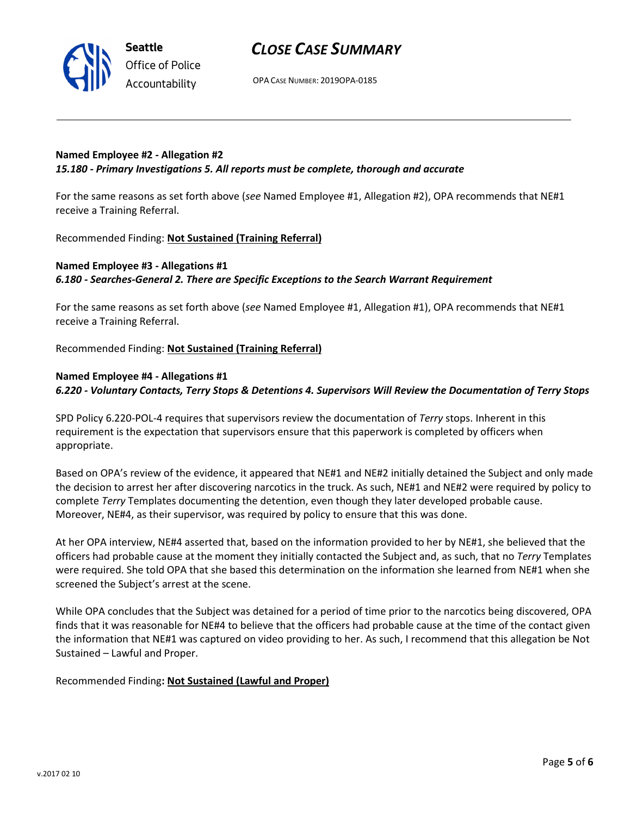



OPA CASE NUMBER: 2019OPA-0185

# Named Employee #2 - Allegation #2 15.180 - Primary Investigations 5. All reports must be complete, thorough and accurate

For the same reasons as set forth above (see Named Employee #1, Allegation #2), OPA recommends that NE#1 receive a Training Referral.

Recommended Finding: Not Sustained (Training Referral)

# Named Employee #3 - Allegations #1 6.180 - Searches-General 2. There are Specific Exceptions to the Search Warrant Requirement

For the same reasons as set forth above (see Named Employee #1, Allegation #1), OPA recommends that NE#1 receive a Training Referral.

Recommended Finding: Not Sustained (Training Referral)

## Named Employee #4 - Allegations #1

6.220 - Voluntary Contacts, Terry Stops & Detentions 4. Supervisors Will Review the Documentation of Terry Stops

SPD Policy 6.220-POL-4 requires that supervisors review the documentation of Terry stops. Inherent in this requirement is the expectation that supervisors ensure that this paperwork is completed by officers when appropriate.

Based on OPA's review of the evidence, it appeared that NE#1 and NE#2 initially detained the Subject and only made the decision to arrest her after discovering narcotics in the truck. As such, NE#1 and NE#2 were required by policy to complete Terry Templates documenting the detention, even though they later developed probable cause. Moreover, NE#4, as their supervisor, was required by policy to ensure that this was done.

At her OPA interview, NE#4 asserted that, based on the information provided to her by NE#1, she believed that the officers had probable cause at the moment they initially contacted the Subject and, as such, that no Terry Templates were required. She told OPA that she based this determination on the information she learned from NE#1 when she screened the Subject's arrest at the scene.

While OPA concludes that the Subject was detained for a period of time prior to the narcotics being discovered, OPA finds that it was reasonable for NE#4 to believe that the officers had probable cause at the time of the contact given the information that NE#1 was captured on video providing to her. As such, I recommend that this allegation be Not Sustained – Lawful and Proper.

Recommended Finding: Not Sustained (Lawful and Proper)